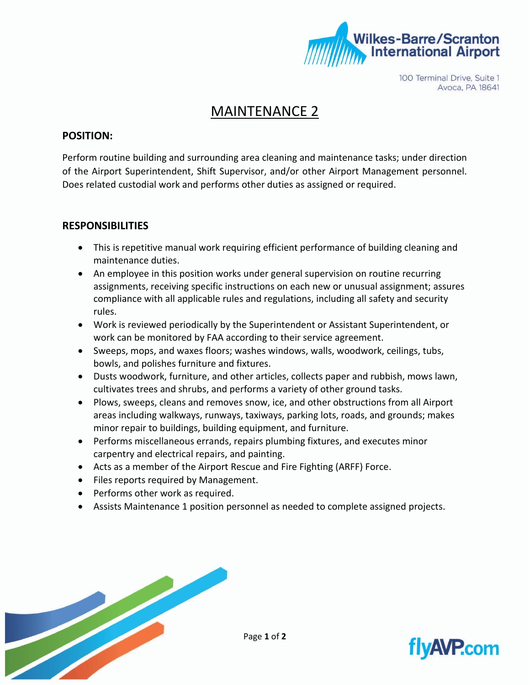

100 Terminal Drive, Suite 1 Avoca, PA 18641

## MAINTENANCE 2

#### **POSITION:**

Perform routine building and surrounding area cleaning and maintenance tasks; under direction of the Airport Superintendent, Shift Supervisor, and/or other Airport Management personnel. Does related custodial work and performs other duties as assigned or required.

#### **RESPONSIBILITIES**

- This is repetitive manual work requiring efficient performance of building cleaning and maintenance duties.
- An employee in this position works under general supervision on routine recurring assignments, receiving specific instructions on each new or unusual assignment; assures compliance with all applicable rules and regulations, including all safety and security rules.
- Work is reviewed periodically by the Superintendent or Assistant Superintendent, or work can be monitored by FAA according to their service agreement.
- Sweeps, mops, and waxes floors; washes windows, walls, woodwork, ceilings, tubs, bowls, and polishes furniture and fixtures.
- Dusts woodwork, furniture, and other articles, collects paper and rubbish, mows lawn, cultivates trees and shrubs, and performs a variety of other ground tasks.
- Plows, sweeps, cleans and removes snow, ice, and other obstructions from all Airport areas including walkways, runways, taxiways, parking lots, roads, and grounds; makes minor repair to buildings, building equipment, and furniture.
- Performs miscellaneous errands, repairs plumbing fixtures, and executes minor carpentry and electrical repairs, and painting.
- Acts as a member of the Airport Rescue and Fire Fighting (ARFF) Force.
- Files reports required by Management.
- Performs other work as required.
- Assists Maintenance 1 position personnel as needed to complete assigned projects.